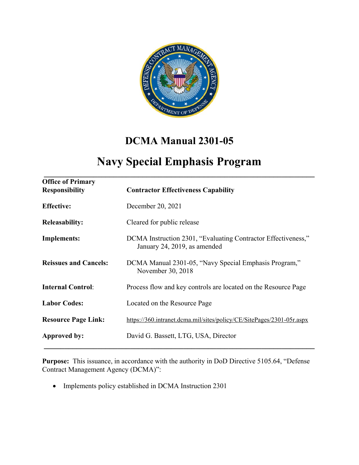

# **DCMA Manual 2301-05**

## **Navy Special Emphasis Program \_\_\_\_\_\_\_\_\_\_\_\_\_\_\_\_\_\_\_\_\_\_\_\_\_\_\_\_\_\_\_\_\_\_\_\_\_\_\_\_\_\_\_\_\_\_\_\_\_\_\_\_\_\_\_\_\_\_\_\_\_\_\_\_\_\_**

| <b>Office of Primary</b><br><b>Responsibility</b> | <b>Contractor Effectiveness Capability</b>                                                    |
|---------------------------------------------------|-----------------------------------------------------------------------------------------------|
| <b>Effective:</b>                                 | December 20, 2021                                                                             |
| <b>Releasability:</b>                             | Cleared for public release                                                                    |
| <b>Implements:</b>                                | DCMA Instruction 2301, "Evaluating Contractor Effectiveness,"<br>January 24, 2019, as amended |
| <b>Reissues and Cancels:</b>                      | DCMA Manual 2301-05, "Navy Special Emphasis Program,"<br>November 30, 2018                    |
| <b>Internal Control:</b>                          | Process flow and key controls are located on the Resource Page                                |
| <b>Labor Codes:</b>                               | Located on the Resource Page                                                                  |
| <b>Resource Page Link:</b>                        | https://360.intranet.dcma.mil/sites/policy/CE/SitePages/2301-05r.aspx                         |
| Approved by:                                      | David G. Bassett, LTG, USA, Director                                                          |

**Purpose:** This issuance, in accordance with the authority in DoD Directive 5105.64, "Defense Contract Management Agency (DCMA)":

• Implements policy established in DCMA Instruction 2301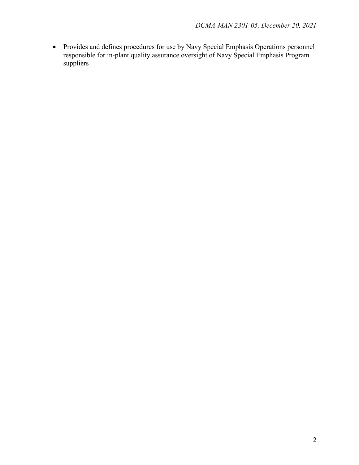• Provides and defines procedures for use by Navy Special Emphasis Operations personnel responsible for in-plant quality assurance oversight of Navy Special Emphasis Program suppliers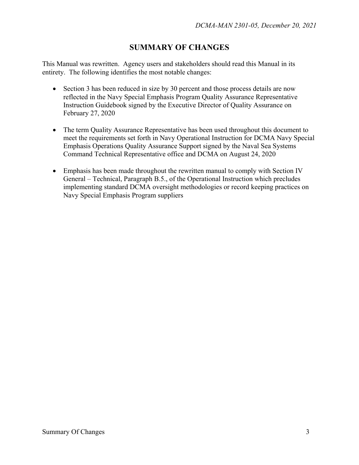## **SUMMARY OF CHANGES**

This Manual was rewritten. Agency users and stakeholders should read this Manual in its entirety. The following identifies the most notable changes:

- Section 3 has been reduced in size by 30 percent and those process details are now reflected in the Navy Special Emphasis Program Quality Assurance Representative Instruction Guidebook signed by the Executive Director of Quality Assurance on February 27, 2020
- The term Quality Assurance Representative has been used throughout this document to meet the requirements set forth in Navy Operational Instruction for DCMA Navy Special Emphasis Operations Quality Assurance Support signed by the Naval Sea Systems Command Technical Representative office and DCMA on August 24, 2020
- Emphasis has been made throughout the rewritten manual to comply with Section IV General – Technical, Paragraph B.5., of the Operational Instruction which precludes implementing standard DCMA oversight methodologies or record keeping practices on Navy Special Emphasis Program suppliers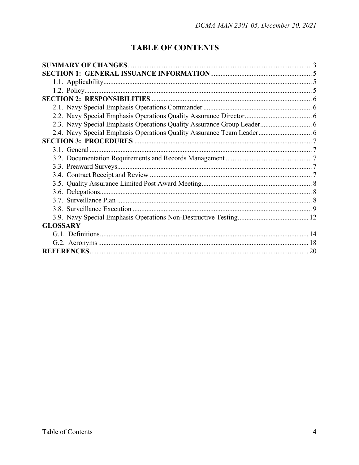## **TABLE OF CONTENTS**

| 2.3. Navy Special Emphasis Operations Quality Assurance Group Leader 6 |  |
|------------------------------------------------------------------------|--|
|                                                                        |  |
|                                                                        |  |
|                                                                        |  |
|                                                                        |  |
|                                                                        |  |
|                                                                        |  |
|                                                                        |  |
|                                                                        |  |
|                                                                        |  |
|                                                                        |  |
|                                                                        |  |
| <b>GLOSSARY</b>                                                        |  |
|                                                                        |  |
|                                                                        |  |
|                                                                        |  |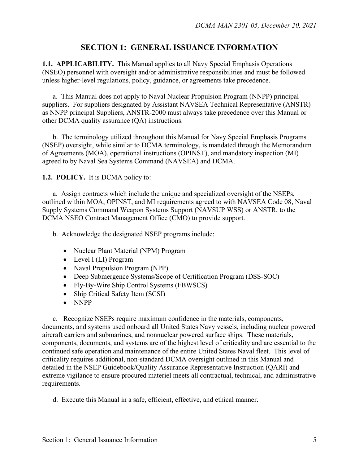#### **SECTION 1: GENERAL ISSUANCE INFORMATION**

**1.1. APPLICABILITY.** This Manual applies to all Navy Special Emphasis Operations (NSEO) personnel with oversight and/or administrative responsibilities and must be followed unless higher-level regulations, policy, guidance, or agreements take precedence.

a. This Manual does not apply to Naval Nuclear Propulsion Program (NNPP) principal suppliers. For suppliers designated by Assistant NAVSEA Technical Representative (ANSTR) as NNPP principal Suppliers, ANSTR-2000 must always take precedence over this Manual or other DCMA quality assurance (QA) instructions.

 b. The terminology utilized throughout this Manual for Navy Special Emphasis Programs (NSEP) oversight, while similar to DCMA terminology, is mandated through the Memorandum of Agreements (MOA), operational instructions (OPINST), and mandatory inspection (MI) agreed to by Naval Sea Systems Command (NAVSEA) and DCMA.

**1.2. POLICY.** It is DCMA policy to:

 a. Assign contracts which include the unique and specialized oversight of the NSEPs, outlined within MOA, OPINST, and MI requirements agreed to with NAVSEA Code 08, Naval Supply Systems Command Weapon Systems Support (NAVSUP WSS) or ANSTR, to the DCMA NSEO Contract Management Office (CMO) to provide support.

b. Acknowledge the designated NSEP programs include:

- Nuclear Plant Material (NPM) Program
- Level I (LI) Program
- Naval Propulsion Program (NPP)
- Deep Submergence Systems/Scope of Certification Program (DSS-SOC)
- Fly-By-Wire Ship Control Systems (FBWSCS)
- Ship Critical Safety Item (SCSI)
- NNPP

c. Recognize NSEPs require maximum confidence in the materials, components, documents, and systems used onboard all United States Navy vessels, including nuclear powered aircraft carriers and submarines, and nonnuclear powered surface ships. These materials, components, documents, and systems are of the highest level of criticality and are essential to the continued safe operation and maintenance of the entire United States Naval fleet. This level of criticality requires additional, non-standard DCMA oversight outlined in this Manual and detailed in the NSEP Guidebook/Quality Assurance Representative Instruction (QARI) and extreme vigilance to ensure procured materiel meets all contractual, technical, and administrative requirements.

d. Execute this Manual in a safe, efficient, effective, and ethical manner.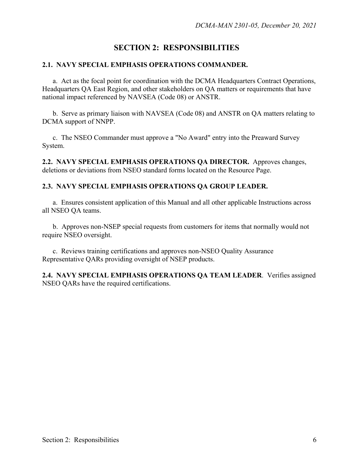## **SECTION 2: RESPONSIBILITIES**

#### **2.1. NAVY SPECIAL EMPHASIS OPERATIONS COMMANDER.**

 a. Act as the focal point for coordination with the DCMA Headquarters Contract Operations, Headquarters QA East Region, and other stakeholders on QA matters or requirements that have national impact referenced by NAVSEA (Code 08) or ANSTR.

 b. Serve as primary liaison with NAVSEA (Code 08) and ANSTR on QA matters relating to DCMA support of NNPP.

 c. The NSEO Commander must approve a "No Award" entry into the Preaward Survey System.

**2.2. NAVY SPECIAL EMPHASIS OPERATIONS QA DIRECTOR.** Approves changes, deletions or deviations from NSEO standard forms located on the Resource Page.

#### **2.3. NAVY SPECIAL EMPHASIS OPERATIONS QA GROUP LEADER.**

 a. Ensures consistent application of this Manual and all other applicable Instructions across all NSEO QA teams.

 b. Approves non-NSEP special requests from customers for items that normally would not require NSEO oversight.

 c. Reviews training certifications and approves non-NSEO Quality Assurance Representative QARs providing oversight of NSEP products.

**2.4. NAVY SPECIAL EMPHASIS OPERATIONS QA TEAM LEADER**. Verifies assigned NSEO QARs have the required certifications.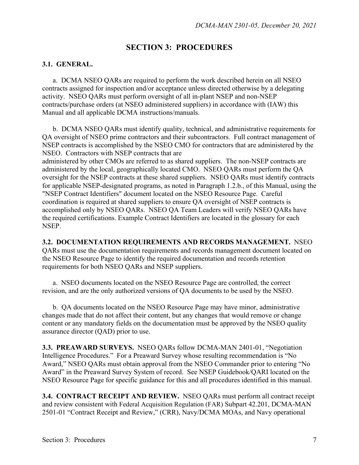### **SECTION 3: PROCEDURES**

#### **3.1. GENERAL.**

a. DCMA NSEO QARs are required to perform the work described herein on all NSEO contracts assigned for inspection and/or acceptance unless directed otherwise by a delegating activity. NSEO QARs must perform oversight of all in-plant NSEP and non-NSEP contracts/purchase orders (at NSEO administered suppliers) in accordance with (IAW) this Manual and all applicable DCMA instructions/manuals.

 b. DCMA NSEO QARs must identify quality, technical, and administrative requirements for QA oversight of NSEO prime contractors and their subcontractors. Full contract management of NSEP contracts is accomplished by the NSEO CMO for contractors that are administered by the NSEO. Contractors with NSEP contracts that are

administered by other CMOs are referred to as shared suppliers. The non-NSEP contracts are administered by the local, geographically located CMO. NSEO QARs must perform the QA oversight for the NSEP contracts at these shared suppliers. NSEO QARs must identify contracts for applicable NSEP-designated programs, as noted in Paragraph 1.2.b., of this Manual, using the "NSEP Contract Identifiers" document located on the NSEO Resource Page. Careful coordination is required at shared suppliers to ensure QA oversight of NSEP contracts is accomplished only by NSEO QARs. NSEO QA Team Leaders will verify NSEO QARs have the required certifications. Example Contract Identifiers are located in the glossary for each NSEP.

#### **3.2. DOCUMENTATION REQUIREMENTS AND RECORDS MANAGEMENT.** NSEO

QARs must use the documentation requirements and records management document located on the NSEO Resource Page to identify the required documentation and records retention requirements for both NSEO QARs and NSEP suppliers.

 a. NSEO documents located on the NSEO Resource Page are controlled, the correct revision, and are the only authorized versions of QA documents to be used by the NSEO.

 b. QA documents located on the NSEO Resource Page may have minor, administrative changes made that do not affect their content, but any changes that would remove or change content or any mandatory fields on the documentation must be approved by the NSEO quality assurance director (QAD) prior to use.

**3.3. PREAWARD SURVEYS.** NSEO QARs follow DCMA-MAN 2401-01, "Negotiation Intelligence Procedures." For a Preaward Survey whose resulting recommendation is "No Award," NSEO QARs must obtain approval from the NSEO Commander prior to entering "No Award" in the Preaward Survey System of record. See NSEP Guidebook/QARI located on the NSEO Resource Page for specific guidance for this and all procedures identified in this manual.

**3.4. CONTRACT RECEIPT AND REVIEW.** NSEO QARs must perform all contract receipt and review consistent with Federal Acquisition Regulation (FAR) Subpart 42.201, DCMA-MAN 2501-01 "Contract Receipt and Review," (CRR), Navy/DCMA MOAs, and Navy operational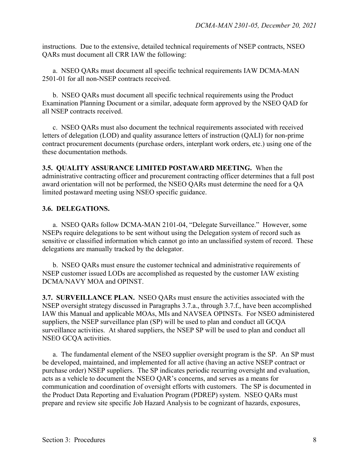instructions. Due to the extensive, detailed technical requirements of NSEP contracts, NSEO QARs must document all CRR IAW the following:

a. NSEO QARs must document all specific technical requirements IAW DCMA-MAN 2501-01 for all non-NSEP contracts received.

 b. NSEO QARs must document all specific technical requirements using the Product Examination Planning Document or a similar, adequate form approved by the NSEO QAD for all NSEP contracts received.

 c. NSEO QARs must also document the technical requirements associated with received letters of delegation (LOD) and quality assurance letters of instruction (QALI) for non-prime contract procurement documents (purchase orders, interplant work orders, etc.) using one of the these documentation methods.

**3.5. QUALITY ASSURANCE LIMITED POSTAWARD MEETING.** When the administrative contracting officer and procurement contracting officer determines that a full post award orientation will not be performed, the NSEO QARs must determine the need for a QA limited postaward meeting using NSEO specific guidance.

#### **3.6. DELEGATIONS.**

a. NSEO QARs follow DCMA-MAN 2101-04, "Delegate Surveillance." However, some NSEPs require delegations to be sent without using the Delegation system of record such as sensitive or classified information which cannot go into an unclassified system of record. These delegations are manually tracked by the delegator.

b. NSEO QARs must ensure the customer technical and administrative requirements of NSEP customer issued LODs are accomplished as requested by the customer IAW existing DCMA/NAVY MOA and OPINST.

**3.7. SURVEILLANCE PLAN.** NSEO QARs must ensure the activities associated with the NSEP oversight strategy discussed in Paragraphs 3.7.a., through 3.7.f., have been accomplished IAW this Manual and applicable MOAs, MIs and NAVSEA OPINSTs. For NSEO administered suppliers, the NSEP surveillance plan (SP) will be used to plan and conduct all GCQA surveillance activities. At shared suppliers, the NSEP SP will be used to plan and conduct all NSEO GCQA activities.

 a. The fundamental element of the NSEO supplier oversight program is the SP. An SP must be developed, maintained, and implemented for all active (having an active NSEP contract or purchase order) NSEP suppliers. The SP indicates periodic recurring oversight and evaluation, acts as a vehicle to document the NSEO QAR's concerns, and serves as a means for communication and coordination of oversight efforts with customers. The SP is documented in the Product Data Reporting and Evaluation Program (PDREP) system. NSEO QARs must prepare and review site specific Job Hazard Analysis to be cognizant of hazards, exposures,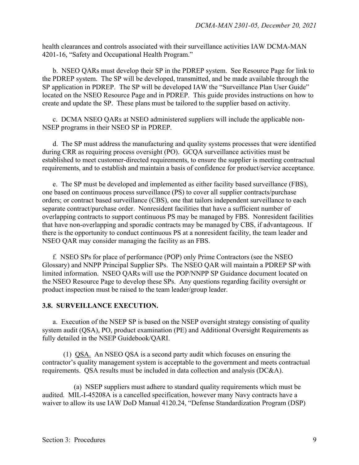health clearances and controls associated with their surveillance activities IAW DCMA-MAN 4201-16, "Safety and Occupational Health Program."

 b. NSEO QARs must develop their SP in the PDREP system. See Resource Page for link to the PDREP system. The SP will be developed, transmitted, and be made available through the SP application in PDREP. The SP will be developed IAW the "Surveillance Plan User Guide" located on the NSEO Resource Page and in PDREP. This guide provides instructions on how to create and update the SP. These plans must be tailored to the supplier based on activity.

 c. DCMA NSEO QARs at NSEO administered suppliers will include the applicable non-NSEP programs in their NSEO SP in PDREP.

 d. The SP must address the manufacturing and quality systems processes that were identified during CRR as requiring process oversight (PO). GCQA surveillance activities must be established to meet customer-directed requirements, to ensure the supplier is meeting contractual requirements, and to establish and maintain a basis of confidence for product/service acceptance.

 e. The SP must be developed and implemented as either facility based surveillance (FBS), one based on continuous process surveillance (PS) to cover all supplier contracts/purchase orders; or contract based surveillance (CBS), one that tailors independent surveillance to each separate contract/purchase order. Nonresident facilities that have a sufficient number of overlapping contracts to support continuous PS may be managed by FBS. Nonresident facilities that have non-overlapping and sporadic contracts may be managed by CBS, if advantageous. If there is the opportunity to conduct continuous PS at a nonresident facility, the team leader and NSEO QAR may consider managing the facility as an FBS.

 f. NSEO SPs for place of performance (POP) only Prime Contractors (see the NSEO Glossary) and NNPP Principal Supplier SPs. The NSEO QAR will maintain a PDREP SP with limited information. NSEO QARs will use the POP/NNPP SP Guidance document located on the NSEO Resource Page to develop these SPs. Any questions regarding facility oversight or product inspection must be raised to the team leader/group leader.

#### **3.8. SURVEILLANCE EXECUTION.**

a. Execution of the NSEP SP is based on the NSEP oversight strategy consisting of quality system audit (QSA), PO, product examination (PE) and Additional Oversight Requirements as fully detailed in the NSEP Guidebook/QARI.

(1) QSA. An NSEO QSA is a second party audit which focuses on ensuring the contractor's quality management system is acceptable to the government and meets contractual requirements. QSA results must be included in data collection and analysis (DC&A).

 (a) NSEP suppliers must adhere to standard quality requirements which must be audited. MIL-I-45208A is a cancelled specification, however many Navy contracts have a waiver to allow its use IAW DoD Manual 4120.24, "Defense Standardization Program (DSP)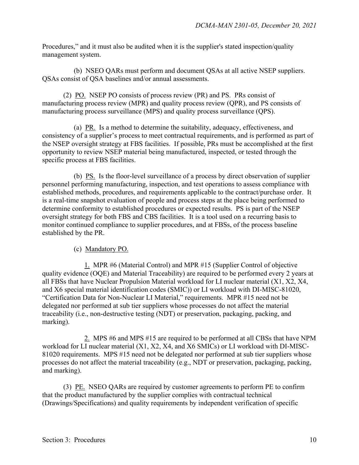Procedures," and it must also be audited when it is the supplier's stated inspection/quality management system.

 (b) NSEO QARs must perform and document QSAs at all active NSEP suppliers. QSAs consist of QSA baselines and/or annual assessments.

 (2) PO. NSEP PO consists of process review (PR) and PS. PRs consist of manufacturing process review (MPR) and quality process review (QPR), and PS consists of manufacturing process surveillance (MPS) and quality process surveillance (QPS).

 (a) PR. Is a method to determine the suitability, adequacy, effectiveness, and consistency of a supplier's process to meet contractual requirements, and is performed as part of the NSEP oversight strategy at FBS facilities. If possible, PRs must be accomplished at the first opportunity to review NSEP material being manufactured, inspected, or tested through the specific process at FBS facilities.

 (b) PS. Is the floor-level surveillance of a process by direct observation of supplier personnel performing manufacturing, inspection, and test operations to assess compliance with established methods, procedures, and requirements applicable to the contract/purchase order. It is a real-time snapshot evaluation of people and process steps at the place being performed to determine conformity to established procedures or expected results. PS is part of the NSEP oversight strategy for both FBS and CBS facilities. It is a tool used on a recurring basis to monitor continued compliance to supplier procedures, and at FBSs, of the process baseline established by the PR.

(c) Mandatory PO.

 1. MPR #6 (Material Control) and MPR #15 (Supplier Control of objective quality evidence (OQE) and Material Traceability) are required to be performed every 2 years at all FBSs that have Nuclear Propulsion Material workload for LI nuclear material (X1, X2, X4, and X6 special material identification codes (SMIC)) or LI workload with DI-MISC-81020, "Certification Data for Non-Nuclear LI Material," requirements. MPR #15 need not be delegated nor performed at sub tier suppliers whose processes do not affect the material traceability (i.e., non-destructive testing (NDT) or preservation, packaging, packing, and marking).

 2. MPS #6 and MPS #15 are required to be performed at all CBSs that have NPM workload for LI nuclear material (X1, X2, X4, and X6 SMICs) or LI workload with DI-MISC-81020 requirements. MPS #15 need not be delegated nor performed at sub tier suppliers whose processes do not affect the material traceability (e.g., NDT or preservation, packaging, packing, and marking).

 (3) PE. NSEO QARs are required by customer agreements to perform PE to confirm that the product manufactured by the supplier complies with contractual technical (Drawings/Specifications) and quality requirements by independent verification of specific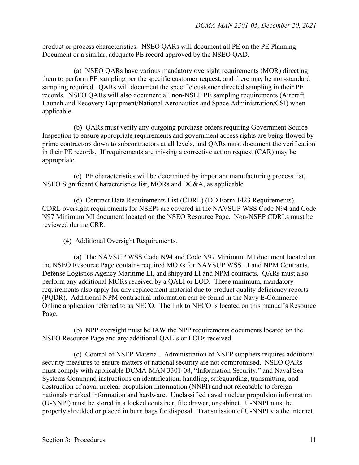product or process characteristics. NSEO QARs will document all PE on the PE Planning Document or a similar, adequate PE record approved by the NSEO QAD.

 (a) NSEO QARs have various mandatory oversight requirements (MOR) directing them to perform PE sampling per the specific customer request, and there may be non-standard sampling required. QARs will document the specific customer directed sampling in their PE records. NSEO QARs will also document all non-NSEP PE sampling requirements (Aircraft Launch and Recovery Equipment/National Aeronautics and Space Administration/CSI) when applicable.

 (b) QARs must verify any outgoing purchase orders requiring Government Source Inspection to ensure appropriate requirements and government access rights are being flowed by prime contractors down to subcontractors at all levels, and QARs must document the verification in their PE records. If requirements are missing a corrective action request (CAR) may be appropriate.

 (c) PE characteristics will be determined by important manufacturing process list, NSEO Significant Characteristics list, MORs and DC&A, as applicable.

 (d) Contract Data Requirements List (CDRL) (DD Form 1423 Requirements). CDRL oversight requirements for NSEPs are covered in the NAVSUP WSS Code N94 and Code N97 Minimum MI document located on the NSEO Resource Page. Non-NSEP CDRLs must be reviewed during CRR.

(4) Additional Oversight Requirements.

 (a) The NAVSUP WSS Code N94 and Code N97 Minimum MI document located on the NSEO Resource Page contains required MORs for NAVSUP WSS LI and NPM Contracts, Defense Logistics Agency Maritime LI, and shipyard LI and NPM contracts. QARs must also perform any additional MORs received by a QALI or LOD. These minimum, mandatory requirements also apply for any replacement material due to product quality deficiency reports (PQDR). Additional NPM contractual information can be found in the Navy E-Commerce Online application referred to as NECO. The link to NECO is located on this manual's Resource Page.

 (b) NPP oversight must be IAW the NPP requirements documents located on the NSEO Resource Page and any additional QALIs or LODs received.

 (c) Control of NSEP Material. Administration of NSEP suppliers requires additional security measures to ensure matters of national security are not compromised. NSEO QARs must comply with applicable DCMA-MAN 3301-08, "Information Security," and Naval Sea Systems Command instructions on identification, handling, safeguarding, transmitting, and destruction of naval nuclear propulsion information (NNPI) and not releasable to foreign nationals marked information and hardware. Unclassified naval nuclear propulsion information (U-NNPI) must be stored in a locked container, file drawer, or cabinet. U-NNPI must be properly shredded or placed in burn bags for disposal. Transmission of U-NNPI via the internet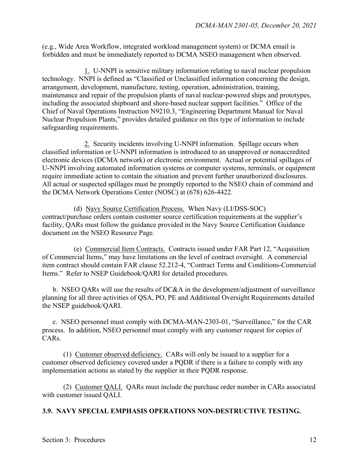(e.g., Wide Area Workflow, integrated workload management system) or DCMA email is forbidden and must be immediately reported to DCMA NSEO management when observed.

 1. U-NNPI is sensitive military information relating to naval nuclear propulsion technology. NNPI is defined as "Classified or Unclassified information concerning the design, arrangement, development, manufacture, testing, operation, administration, training, maintenance and repair of the propulsion plants of naval nuclear-powered ships and prototypes, including the associated shipboard and shore-based nuclear support facilities." Office of the Chief of Naval Operations Instruction N9210.3, "Engineering Department Manual for Naval Nuclear Propulsion Plants," provides detailed guidance on this type of information to include safeguarding requirements.

 2. Security incidents involving U-NNPI information. Spillage occurs when classified information or U-NNPI information is introduced to an unapproved or nonaccredited electronic devices (DCMA network) or electronic environment. Actual or potential spillages of U-NNPI involving automated information systems or computer systems, terminals, or equipment require immediate action to contain the situation and prevent further unauthorized disclosures. All actual or suspected spillages must be promptly reported to the NSEO chain of command and the DCMA Network Operations Center (NOSC) at (678) 626-4422.

 (d) Navy Source Certification Process. When Navy (LI/DSS-SOC) contract/purchase orders contain customer source certification requirements at the supplier's facility, QARs must follow the guidance provided in the Navy Source Certification Guidance document on the NSEO Resource Page.

 (e) Commercial Item Contracts. Contracts issued under FAR Part 12, "Acquisition of Commercial Items," may have limitations on the level of contract oversight. A commercial item contract should contain FAR clause 52.212-4, "Contract Terms and Conditions-Commercial Items." Refer to NSEP Guidebook/QARI for detailed procedures.

 b. NSEO QARs will use the results of DC&A in the development/adjustment of surveillance planning for all three activities of QSA, PO, PE and Additional Oversight Requirements detailed the NSEP guidebook/QARI.

 c. NSEO personnel must comply with DCMA-MAN-2303-01, "Surveillance," for the CAR process. In addition, NSEO personnel must comply with any customer request for copies of CARs.

 (1) Customer observed deficiency. CARs will only be issued to a supplier for a customer observed deficiency covered under a PQDR if there is a failure to comply with any implementation actions as stated by the supplier in their PQDR response.

 (2) Customer QALI. QARs must include the purchase order number in CARs associated with customer issued QALI.

#### **3.9. NAVY SPECIAL EMPHASIS OPERATIONS NON-DESTRUCTIVE TESTING.**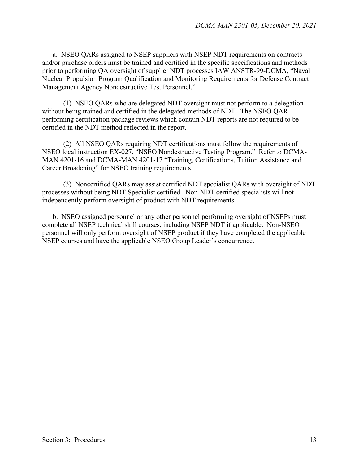a. NSEO QARs assigned to NSEP suppliers with NSEP NDT requirements on contracts and/or purchase orders must be trained and certified in the specific specifications and methods prior to performing QA oversight of supplier NDT processes IAW ANSTR-99-DCMA, "Naval Nuclear Propulsion Program Qualification and Monitoring Requirements for Defense Contract Management Agency Nondestructive Test Personnel."

 (1) NSEO QARs who are delegated NDT oversight must not perform to a delegation without being trained and certified in the delegated methods of NDT. The NSEO QAR performing certification package reviews which contain NDT reports are not required to be certified in the NDT method reflected in the report.

 (2) All NSEO QARs requiring NDT certifications must follow the requirements of NSEO local instruction EX-027, "NSEO Nondestructive Testing Program." Refer to DCMA-MAN 4201-16 and DCMA-MAN 4201-17 "Training, Certifications, Tuition Assistance and Career Broadening" for NSEO training requirements.

 (3) Noncertified QARs may assist certified NDT specialist QARs with oversight of NDT processes without being NDT Specialist certified. Non-NDT certified specialists will not independently perform oversight of product with NDT requirements.

 b. NSEO assigned personnel or any other personnel performing oversight of NSEPs must complete all NSEP technical skill courses, including NSEP NDT if applicable. Non-NSEO personnel will only perform oversight of NSEP product if they have completed the applicable NSEP courses and have the applicable NSEO Group Leader's concurrence.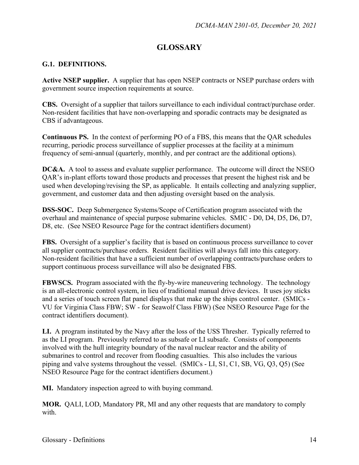## **GLOSSARY**

#### **G.1. DEFINITIONS.**

**Active NSEP supplier.** A supplier that has open NSEP contracts or NSEP purchase orders with government source inspection requirements at source.

**CBS.** Oversight of a supplier that tailors surveillance to each individual contract/purchase order. Non-resident facilities that have non-overlapping and sporadic contracts may be designated as CBS if advantageous.

**Continuous PS.** In the context of performing PO of a FBS, this means that the QAR schedules recurring, periodic process surveillance of supplier processes at the facility at a minimum frequency of semi-annual (quarterly, monthly, and per contract are the additional options).

**DC&A.** A tool to assess and evaluate supplier performance. The outcome will direct the NSEO QAR's in-plant efforts toward those products and processes that present the highest risk and be used when developing/revising the SP, as applicable. It entails collecting and analyzing supplier, government, and customer data and then adjusting oversight based on the analysis.

**DSS-SOC.** Deep Submergence Systems/Scope of Certification program associated with the overhaul and maintenance of special purpose submarine vehicles. SMIC - D0, D4, D5, D6, D7, D8, etc. (See NSEO Resource Page for the contract identifiers document)

**FBS.** Oversight of a supplier's facility that is based on continuous process surveillance to cover all supplier contracts/purchase orders. Resident facilities will always fall into this category. Non-resident facilities that have a sufficient number of overlapping contracts/purchase orders to support continuous process surveillance will also be designated FBS.

**FBWSCS.** Program associated with the fly-by-wire maneuvering technology. The technology is an all-electronic control system, in lieu of traditional manual drive devices. It uses joy sticks and a series of touch screen flat panel displays that make up the ships control center. (SMICs - VU for Virginia Class FBW; SW - for Seawolf Class FBW) (See NSEO Resource Page for the contract identifiers document).

**LI.** A program instituted by the Navy after the loss of the USS Thresher. Typically referred to as the LI program. Previously referred to as subsafe or LI subsafe. Consists of components involved with the hull integrity boundary of the naval nuclear reactor and the ability of submarines to control and recover from flooding casualties. This also includes the various piping and valve systems throughout the vessel. (SMICs - LI, S1, C1, SB, VG, Q3, Q5) (See NSEO Resource Page for the contract identifiers document.)

**MI.** Mandatory inspection agreed to with buying command.

**MOR.** QALI, LOD, Mandatory PR, MI and any other requests that are mandatory to comply with.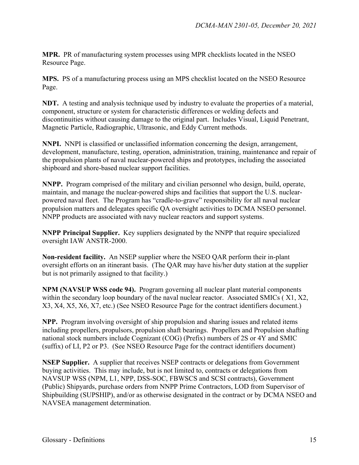**MPR.** PR of manufacturing system processes using MPR checklists located in the NSEO Resource Page.

**MPS.** PS of a manufacturing process using an MPS checklist located on the NSEO Resource Page.

**NDT.** A testing and analysis technique used by industry to evaluate the properties of a material, component, structure or system for characteristic differences or welding defects and discontinuities without causing damage to the original part. Includes Visual, Liquid Penetrant, Magnetic Particle, Radiographic, Ultrasonic, and Eddy Current methods.

**NNPI.** NNPI is classified or unclassified information concerning the design, arrangement, development, manufacture, testing, operation, administration, training, maintenance and repair of the propulsion plants of naval nuclear-powered ships and prototypes, including the associated shipboard and shore-based nuclear support facilities.

**NNPP.** Program comprised of the military and civilian personnel who design, build, operate, maintain, and manage the nuclear-powered ships and facilities that support the U.S. nuclearpowered naval fleet. The Program has "cradle-to-grave" responsibility for all naval nuclear propulsion matters and delegates specific QA oversight activities to DCMA NSEO personnel. NNPP products are associated with navy nuclear reactors and support systems.

**NNPP Principal Supplier.** Key suppliers designated by the NNPP that require specialized oversight IAW ANSTR-2000.

**Non-resident facility.** An NSEP supplier where the NSEO QAR perform their in-plant oversight efforts on an itinerant basis. (The QAR may have his/her duty station at the supplier but is not primarily assigned to that facility.)

**NPM (NAVSUP WSS code 94).** Program governing all nuclear plant material components within the secondary loop boundary of the naval nuclear reactor. Associated SMICs ( X1, X2, X3, X4, X5, X6, X7, etc.) (See NSEO Resource Page for the contract identifiers document.)

**NPP.** Program involving oversight of ship propulsion and sharing issues and related items including propellers, propulsors, propulsion shaft bearings. Propellers and Propulsion shafting national stock numbers include Cognizant (COG) (Prefix) numbers of 2S or 4Y and SMIC (suffix) of LI, P2 or P3. (See NSEO Resource Page for the contract identifiers document)

**NSEP Supplier.** A supplier that receives NSEP contracts or delegations from Government buying activities. This may include, but is not limited to, contracts or delegations from NAVSUP WSS (NPM, L1, NPP, DSS-SOC, FBWSCS and SCSI contracts), Government (Public) Shipyards, purchase orders from NNPP Prime Contractors, LOD from Supervisor of Shipbuilding (SUPSHIP), and/or as otherwise designated in the contract or by DCMA NSEO and NAVSEA management determination.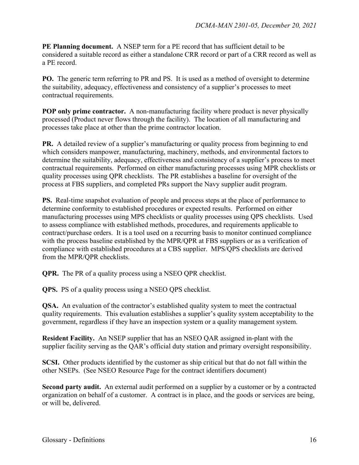**PE Planning document.** A NSEP term for a PE record that has sufficient detail to be considered a suitable record as either a standalone CRR record or part of a CRR record as well as a PE record.

**PO.** The generic term referring to PR and PS. It is used as a method of oversight to determine the suitability, adequacy, effectiveness and consistency of a supplier's processes to meet contractual requirements.

**POP** only prime contractor. A non-manufacturing facility where product is never physically processed (Product never flows through the facility). The location of all manufacturing and processes take place at other than the prime contractor location.

**PR.** A detailed review of a supplier's manufacturing or quality process from beginning to end which considers manpower, manufacturing, machinery, methods, and environmental factors to determine the suitability, adequacy, effectiveness and consistency of a supplier's process to meet contractual requirements. Performed on either manufacturing processes using MPR checklists or quality processes using QPR checklists. The PR establishes a baseline for oversight of the process at FBS suppliers, and completed PRs support the Navy supplier audit program.

**PS.** Real-time snapshot evaluation of people and process steps at the place of performance to determine conformity to established procedures or expected results. Performed on either manufacturing processes using MPS checklists or quality processes using QPS checklists. Used to assess compliance with established methods, procedures, and requirements applicable to contract/purchase orders. It is a tool used on a recurring basis to monitor continued compliance with the process baseline established by the MPR/QPR at FBS suppliers or as a verification of compliance with established procedures at a CBS supplier. MPS/QPS checklists are derived from the MPR/QPR checklists.

**QPR.** The PR of a quality process using a NSEO QPR checklist.

**QPS.** PS of a quality process using a NSEO QPS checklist.

**QSA.** An evaluation of the contractor's established quality system to meet the contractual quality requirements. This evaluation establishes a supplier's quality system acceptability to the government, regardless if they have an inspection system or a quality management system.

**Resident Facility.** An NSEP supplier that has an NSEO QAR assigned in-plant with the supplier facility serving as the QAR's official duty station and primary oversight responsibility.

**SCSI.** Other products identified by the customer as ship critical but that do not fall within the other NSEPs. (See NSEO Resource Page for the contract identifiers document)

**Second party audit.** An external audit performed on a supplier by a customer or by a contracted organization on behalf of a customer. A contract is in place, and the goods or services are being, or will be, delivered.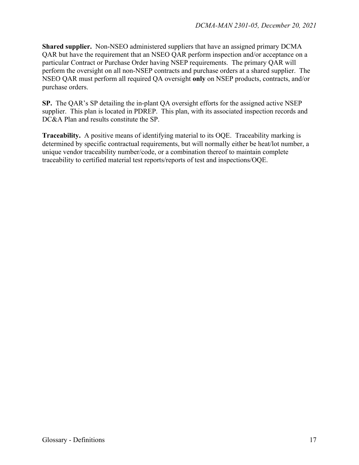**Shared supplier.** Non-NSEO administered suppliers that have an assigned primary DCMA QAR but have the requirement that an NSEO QAR perform inspection and/or acceptance on a particular Contract or Purchase Order having NSEP requirements. The primary QAR will perform the oversight on all non-NSEP contracts and purchase orders at a shared supplier. The NSEO QAR must perform all required QA oversight **only** on NSEP products, contracts, and/or purchase orders.

**SP.** The QAR's SP detailing the in-plant QA oversight efforts for the assigned active NSEP supplier. This plan is located in PDREP. This plan, with its associated inspection records and DC&A Plan and results constitute the SP.

**Traceability.** A positive means of identifying material to its OQE. Traceability marking is determined by specific contractual requirements, but will normally either be heat/lot number, a unique vendor traceability number/code, or a combination thereof to maintain complete traceability to certified material test reports/reports of test and inspections/OQE.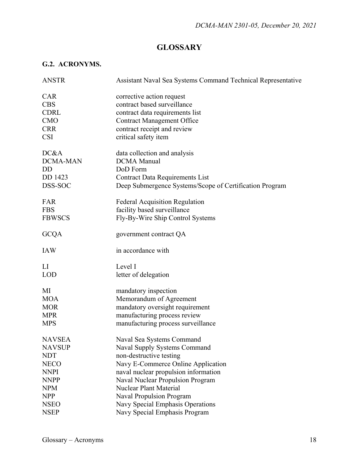## **GLOSSARY**

### **G.2. ACRONYMS.**

| <b>ANSTR</b>   | Assistant Naval Sea Systems Command Technical Representative |
|----------------|--------------------------------------------------------------|
| <b>CAR</b>     | corrective action request                                    |
| <b>CBS</b>     | contract based surveillance                                  |
| <b>CDRL</b>    | contract data requirements list                              |
| <b>CMO</b>     | <b>Contract Management Office</b>                            |
| <b>CRR</b>     | contract receipt and review                                  |
| <b>CSI</b>     | critical safety item                                         |
| DC&A           | data collection and analysis                                 |
| DCMA-MAN       | <b>DCMA</b> Manual                                           |
| D <sub>D</sub> | DoD Form                                                     |
| DD 1423        | <b>Contract Data Requirements List</b>                       |
| DSS-SOC        | Deep Submergence Systems/Scope of Certification Program      |
| FAR            | <b>Federal Acquisition Regulation</b>                        |
| <b>FBS</b>     | facility based surveillance                                  |
| <b>FBWSCS</b>  | Fly-By-Wire Ship Control Systems                             |
| <b>GCQA</b>    | government contract QA                                       |
| <b>IAW</b>     | in accordance with                                           |
| $\rm{L}$       | Level I                                                      |
| <b>LOD</b>     | letter of delegation                                         |
| MI             | mandatory inspection                                         |
| <b>MOA</b>     | Memorandum of Agreement                                      |
| <b>MOR</b>     | mandatory oversight requirement                              |
| <b>MPR</b>     | manufacturing process review                                 |
| <b>MPS</b>     | manufacturing process surveillance                           |
| <b>NAVSEA</b>  | Naval Sea Systems Command                                    |
| <b>NAVSUP</b>  | Naval Supply Systems Command                                 |
| <b>NDT</b>     | non-destructive testing                                      |
| <b>NECO</b>    | Navy E-Commerce Online Application                           |
| <b>NNPI</b>    | naval nuclear propulsion information                         |
| <b>NNPP</b>    | Naval Nuclear Propulsion Program                             |
| <b>NPM</b>     | <b>Nuclear Plant Material</b>                                |
| <b>NPP</b>     | <b>Naval Propulsion Program</b>                              |
| <b>NSEO</b>    | Navy Special Emphasis Operations                             |
| <b>NSEP</b>    | Navy Special Emphasis Program                                |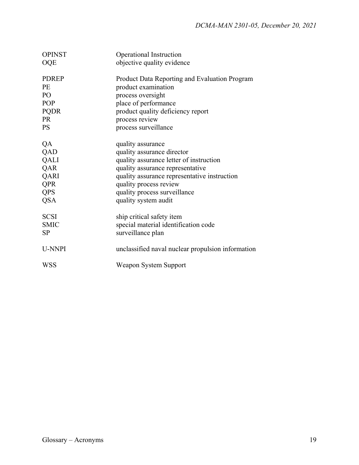| <b>OPINST</b> | Operational Instruction                           |
|---------------|---------------------------------------------------|
| <b>OQE</b>    | objective quality evidence                        |
| <b>PDREP</b>  | Product Data Reporting and Evaluation Program     |
| <b>PE</b>     | product examination                               |
| PO            | process oversight                                 |
| POP           | place of performance                              |
| <b>PQDR</b>   | product quality deficiency report                 |
| <b>PR</b>     | process review                                    |
| <b>PS</b>     | process surveillance                              |
| QA            | quality assurance                                 |
| QAD           | quality assurance director                        |
| QALI          | quality assurance letter of instruction           |
| QAR           | quality assurance representative                  |
| QARI          | quality assurance representative instruction      |
| <b>QPR</b>    | quality process review                            |
| QPS           | quality process surveillance                      |
| <b>QSA</b>    | quality system audit                              |
| <b>SCSI</b>   | ship critical safety item                         |
| <b>SMIC</b>   | special material identification code              |
| SP            | surveillance plan                                 |
| U-NNPI        | unclassified naval nuclear propulsion information |
| <b>WSS</b>    | Weapon System Support                             |